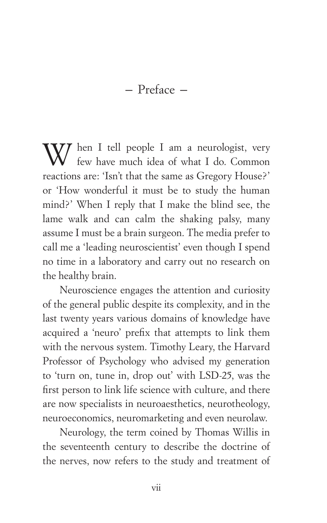– Preface –

W hen I tell people I am a neurologist, very few have much idea of what I do. Common reactions are: 'Isn't that the same as Gregory House?' or 'How wonderful it must be to study the human mind?' When I reply that I make the blind see, the lame walk and can calm the shaking palsy, many assume I must be a brain surgeon. The media prefer to call me a 'leading neuroscientist' even though I spend no time in a laboratory and carry out no research on the healthy brain.

Neuroscience engages the attention and curiosity of the general public despite its complexity, and in the last twenty years various domains of knowledge have acquired a 'neuro' prefix that attempts to link them with the nervous system. Timothy Leary, the Harvard Professor of Psychology who advised my generation to 'turn on, tune in, drop out' with LSD-25, was the first person to link life science with culture, and there are now specialists in neuroaesthetics, neurotheology, neuroeconomics, neuromarketing and even neurolaw.

Neurology, the term coined by Thomas Willis in the seventeenth century to describe the doctrine of the nerves, now refers to the study and treatment of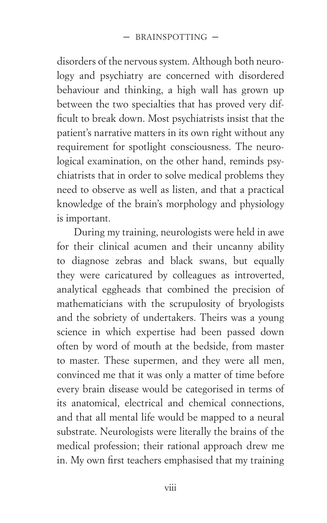disorders of the nervous system. Although both neurology and psychiatry are concerned with disordered behaviour and thinking, a high wall has grown up between the two specialties that has proved very difficult to break down. Most psychiatrists insist that the patient's narrative matters in its own right without any requirement for spotlight consciousness. The neurological examination, on the other hand, reminds psychiatrists that in order to solve medical problems they need to observe as well as listen, and that a practical knowledge of the brain's morphology and physiology is important.

During my training, neurologists were held in awe for their clinical acumen and their uncanny ability to diagnose zebras and black swans, but equally they were caricatured by colleagues as introverted, analytical eggheads that combined the precision of mathematicians with the scrupulosity of bryologists and the sobriety of undertakers. Theirs was a young science in which expertise had been passed down often by word of mouth at the bedside, from master to master. These supermen, and they were all men, convinced me that it was only a matter of time before every brain disease would be categorised in terms of its anatomical, electrical and chemical connections, and that all mental life would be mapped to a neural substrate. Neurologists were literally the brains of the medical profession; their rational approach drew me in. My own first teachers emphasised that my training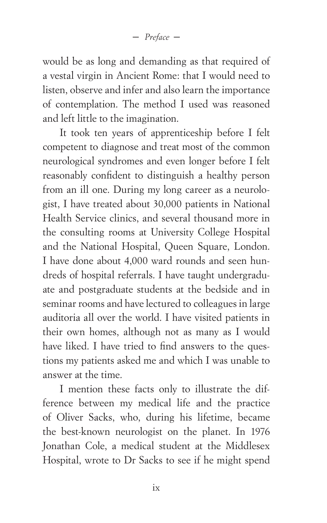– *Preface* –

would be as long and demanding as that required of a vestal virgin in Ancient Rome: that I would need to listen, observe and infer and also learn the importance of contemplation. The method I used was reasoned and left little to the imagination.

It took ten years of apprenticeship before I felt competent to diagnose and treat most of the common neurological syndromes and even longer before I felt reasonably confident to distinguish a healthy person from an ill one. During my long career as a neurologist, I have treated about 30,000 patients in National Health Service clinics, and several thousand more in the consulting rooms at University College Hospital and the National Hospital, Queen Square, London. I have done about 4,000 ward rounds and seen hundreds of hospital referrals. I have taught undergraduate and postgraduate students at the bedside and in seminar rooms and have lectured to colleagues in large auditoria all over the world. I have visited patients in their own homes, although not as many as I would have liked. I have tried to find answers to the questions my patients asked me and which I was unable to answer at the time.

I mention these facts only to illustrate the difference between my medical life and the practice of Oliver Sacks, who, during his lifetime, became the best-known neurologist on the planet. In 1976 Jonathan Cole, a medical student at the Middlesex Hospital, wrote to Dr Sacks to see if he might spend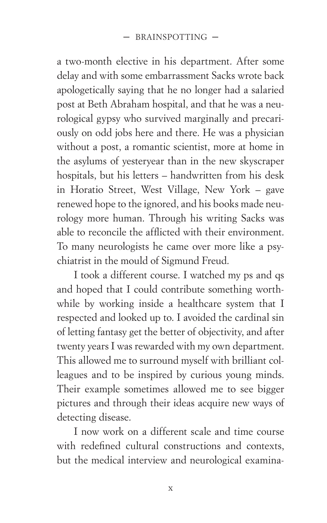a two-month elective in his department. After some delay and with some embarrassment Sacks wrote back apologetically saying that he no longer had a salaried post at Beth Abraham hospital, and that he was a neurological gypsy who survived marginally and precariously on odd jobs here and there. He was a physician without a post, a romantic scientist, more at home in the asylums of yesteryear than in the new skyscraper hospitals, but his letters – handwritten from his desk in Horatio Street, West Village, New York – gave renewed hope to the ignored, and his books made neurology more human. Through his writing Sacks was able to reconcile the afflicted with their environment. To many neurologists he came over more like a psychiatrist in the mould of Sigmund Freud.

I took a different course. I watched my ps and qs and hoped that I could contribute something worthwhile by working inside a healthcare system that I respected and looked up to. I avoided the cardinal sin of letting fantasy get the better of objectivity, and after twenty years I was rewarded with my own department. This allowed me to surround myself with brilliant colleagues and to be inspired by curious young minds. Their example sometimes allowed me to see bigger pictures and through their ideas acquire new ways of detecting disease.

I now work on a different scale and time course with redefined cultural constructions and contexts, but the medical interview and neurological examina-

x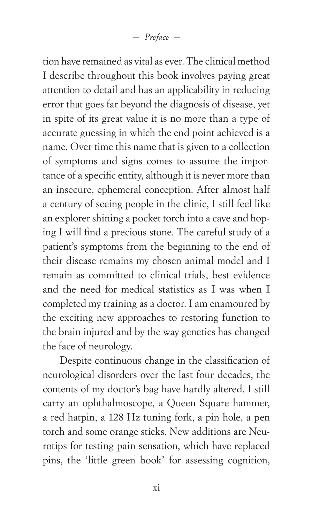tion have remained as vital as ever. The clinical method I describe throughout this book involves paying great attention to detail and has an applicability in reducing error that goes far beyond the diagnosis of disease, yet in spite of its great value it is no more than a type of accurate guessing in which the end point achieved is a name. Over time this name that is given to a collection of symptoms and signs comes to assume the importance of a specific entity, although it is never more than an insecure, ephemeral conception. After almost half a century of seeing people in the clinic, I still feel like an explorer shining a pocket torch into a cave and hoping I will find a precious stone. The careful study of a patient's symptoms from the beginning to the end of their disease remains my chosen animal model and I remain as committed to clinical trials, best evidence and the need for medical statistics as I was when I completed my training as a doctor. I am enamoured by the exciting new approaches to restoring function to the brain injured and by the way genetics has changed the face of neurology.

Despite continuous change in the classification of neurological disorders over the last four decades, the contents of my doctor's bag have hardly altered. I still carry an ophthalmoscope, a Queen Square hammer, a red hatpin, a 128 Hz tuning fork, a pin hole, a pen torch and some orange sticks. New additions are Neurotips for testing pain sensation, which have replaced pins, the 'little green book' for assessing cognition,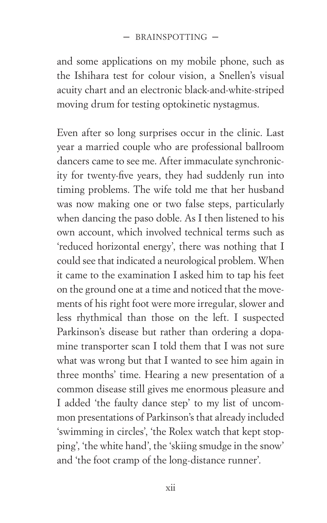## – BRAINSPOTTING –

and some applications on my mobile phone, such as the Ishihara test for colour vision, a Snellen's visual acuity chart and an electronic black-and-white-striped moving drum for testing optokinetic nystagmus.

Even after so long surprises occur in the clinic. Last year a married couple who are professional ballroom dancers came to see me. After immaculate synchronicity for twenty-five years, they had suddenly run into timing problems. The wife told me that her husband was now making one or two false steps, particularly when dancing the paso doble. As I then listened to his own account, which involved technical terms such as 'reduced horizontal energy', there was nothing that I could see that indicated a neurological problem. When it came to the examination I asked him to tap his feet on the ground one at a time and noticed that the movements of his right foot were more irregular, slower and less rhythmical than those on the left. I suspected Parkinson's disease but rather than ordering a dopamine transporter scan I told them that I was not sure what was wrong but that I wanted to see him again in three months' time. Hearing a new presentation of a common disease still gives me enormous pleasure and I added 'the faulty dance step' to my list of uncommon presentations of Parkinson's that already included 'swimming in circles', 'the Rolex watch that kept stopping', 'the white hand', the 'skiing smudge in the snow' and 'the foot cramp of the long-distance runner'.